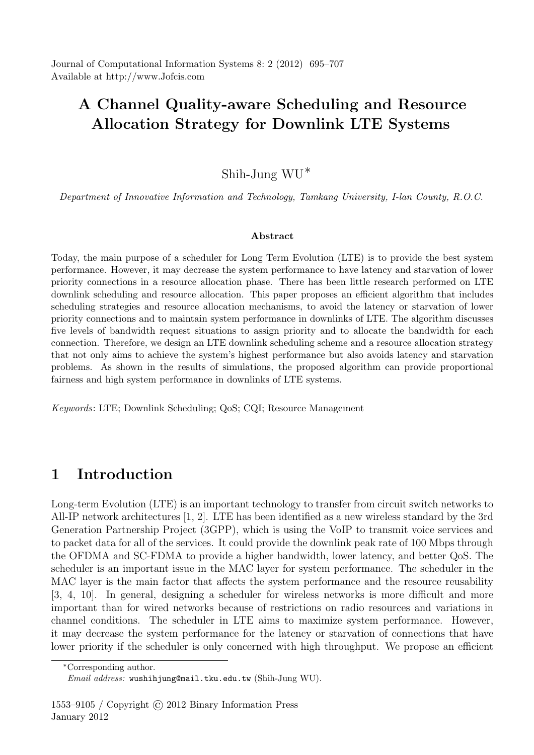Journal of Computational Information Systems 8: 2 (2012) 695–707 Available at http://www.Jofcis.com

# A Channel Quality-aware Scheduling and Resource Allocation Strategy for Downlink LTE Systems

# Shih-Jung WU∗

Department of Innovative Information and Technology, Tamkang University, I-lan County, R.O.C.

#### Abstract

Today, the main purpose of a scheduler for Long Term Evolution (LTE) is to provide the best system performance. However, it may decrease the system performance to have latency and starvation of lower priority connections in a resource allocation phase. There has been little research performed on LTE downlink scheduling and resource allocation. This paper proposes an efficient algorithm that includes scheduling strategies and resource allocation mechanisms, to avoid the latency or starvation of lower priority connections and to maintain system performance in downlinks of LTE. The algorithm discusses five levels of bandwidth request situations to assign priority and to allocate the bandwidth for each connection. Therefore, we design an LTE downlink scheduling scheme and a resource allocation strategy that not only aims to achieve the system's highest performance but also avoids latency and starvation problems. As shown in the results of simulations, the proposed algorithm can provide proportional fairness and high system performance in downlinks of LTE systems.

Keywords: LTE; Downlink Scheduling; QoS; CQI; Resource Management

# 1 Introduction

Long-term Evolution (LTE) is an important technology to transfer from circuit switch networks to All-IP network architectures [1, 2]. LTE has been identified as a new wireless standard by the 3rd Generation Partnership Project (3GPP), which is using the VoIP to transmit voice services and to packet data for all of the services. It could provide the downlink peak rate of 100 Mbps through the OFDMA and SC-FDMA to provide a higher bandwidth, lower latency, and better QoS. The scheduler is an important issue in the MAC layer for system performance. The scheduler in the MAC layer is the main factor that affects the system performance and the resource reusability [3, 4, 10]. In general, designing a scheduler for wireless networks is more difficult and more important than for wired networks because of restrictions on radio resources and variations in channel conditions. The scheduler in LTE aims to maximize system performance. However, it may decrease the system performance for the latency or starvation of connections that have lower priority if the scheduler is only concerned with high throughput. We propose an efficient

<sup>∗</sup>Corresponding author.

Email address: wushihjung@mail.tku.edu.tw (Shih-Jung WU).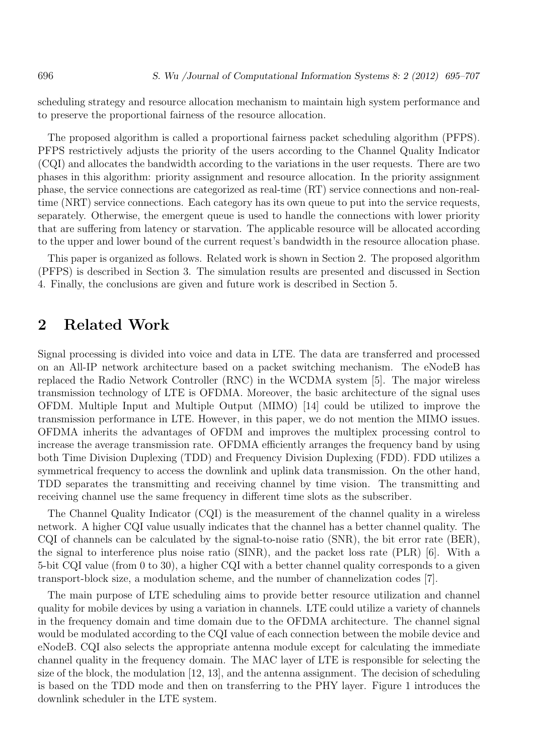scheduling strategy and resource allocation mechanism to maintain high system performance and to preserve the proportional fairness of the resource allocation.

The proposed algorithm is called a proportional fairness packet scheduling algorithm (PFPS). PFPS restrictively adjusts the priority of the users according to the Channel Quality Indicator (CQI) and allocates the bandwidth according to the variations in the user requests. There are two phases in this algorithm: priority assignment and resource allocation. In the priority assignment phase, the service connections are categorized as real-time (RT) service connections and non-realtime (NRT) service connections. Each category has its own queue to put into the service requests, separately. Otherwise, the emergent queue is used to handle the connections with lower priority that are suffering from latency or starvation. The applicable resource will be allocated according to the upper and lower bound of the current request's bandwidth in the resource allocation phase.

This paper is organized as follows. Related work is shown in Section 2. The proposed algorithm (PFPS) is described in Section 3. The simulation results are presented and discussed in Section 4. Finally, the conclusions are given and future work is described in Section 5.

### 2 Related Work

Signal processing is divided into voice and data in LTE. The data are transferred and processed on an All-IP network architecture based on a packet switching mechanism. The eNodeB has replaced the Radio Network Controller (RNC) in the WCDMA system [5]. The major wireless transmission technology of LTE is OFDMA. Moreover, the basic architecture of the signal uses OFDM. Multiple Input and Multiple Output (MIMO) [14] could be utilized to improve the transmission performance in LTE. However, in this paper, we do not mention the MIMO issues. OFDMA inherits the advantages of OFDM and improves the multiplex processing control to increase the average transmission rate. OFDMA efficiently arranges the frequency band by using both Time Division Duplexing (TDD) and Frequency Division Duplexing (FDD). FDD utilizes a symmetrical frequency to access the downlink and uplink data transmission. On the other hand, TDD separates the transmitting and receiving channel by time vision. The transmitting and receiving channel use the same frequency in different time slots as the subscriber.

The Channel Quality Indicator (CQI) is the measurement of the channel quality in a wireless network. A higher CQI value usually indicates that the channel has a better channel quality. The CQI of channels can be calculated by the signal-to-noise ratio (SNR), the bit error rate (BER), the signal to interference plus noise ratio (SINR), and the packet loss rate (PLR) [6]. With a 5-bit CQI value (from 0 to 30), a higher CQI with a better channel quality corresponds to a given transport-block size, a modulation scheme, and the number of channelization codes [7].

The main purpose of LTE scheduling aims to provide better resource utilization and channel quality for mobile devices by using a variation in channels. LTE could utilize a variety of channels in the frequency domain and time domain due to the OFDMA architecture. The channel signal would be modulated according to the CQI value of each connection between the mobile device and eNodeB. CQI also selects the appropriate antenna module except for calculating the immediate channel quality in the frequency domain. The MAC layer of LTE is responsible for selecting the size of the block, the modulation [12, 13], and the antenna assignment. The decision of scheduling is based on the TDD mode and then on transferring to the PHY layer. Figure 1 introduces the downlink scheduler in the LTE system.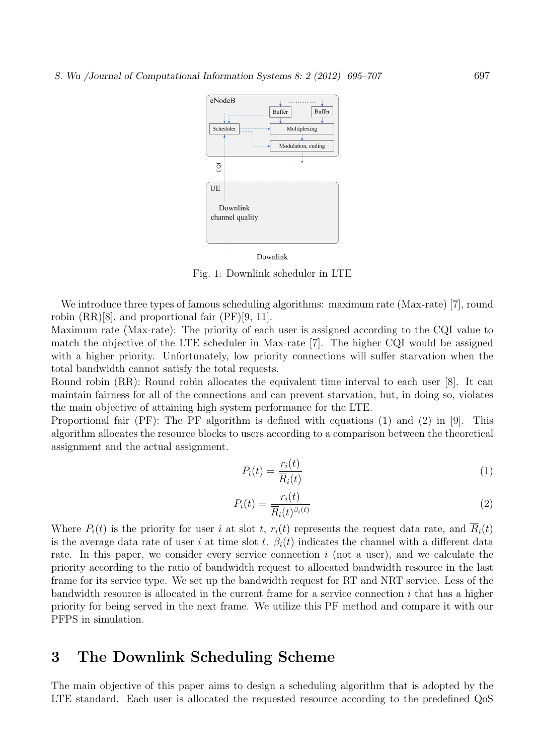

#### Downlink

Fig. 1: Downlink scheduler in LTE

We introduce three types of famous scheduling algorithms: maximum rate (Max-rate) [7], round robin (RR)[8], and proportional fair (PF)[9, 11].

Maximum rate (Max-rate): The priority of each user is assigned according to the CQI value to match the objective of the LTE scheduler in Max-rate [7]. The higher CQI would be assigned with a higher priority. Unfortunately, low priority connections will suffer starvation when the total bandwidth cannot satisfy the total requests.

Round robin (RR): Round robin allocates the equivalent time interval to each user [8]. It can maintain fairness for all of the connections and can prevent starvation, but, in doing so, violates the main objective of attaining high system performance for the LTE.

Proportional fair (PF): The PF algorithm is defined with equations (1) and (2) in [9]. This algorithm allocates the resource blocks to users according to a comparison between the theoretical assignment and the actual assignment.

$$
P_i(t) = \frac{r_i(t)}{\overline{R}_i(t)}\tag{1}
$$

$$
P_i(t) = \frac{r_i(t)}{\overline{R}_i(t)^{\beta_i(t)}}\tag{2}
$$

Where  $P_i(t)$  is the priority for user i at slot t,  $r_i(t)$  represents the request data rate, and  $\overline{R}_i(t)$ is the average data rate of user i at time slot t.  $\beta_i(t)$  indicates the channel with a different data rate. In this paper, we consider every service connection i (not a user), and we calculate the priority according to the ratio of bandwidth request to allocated bandwidth resource in the last frame for its service type. We set up the bandwidth request for RT and NRT service. Less of the bandwidth resource is allocated in the current frame for a service connection  $i$  that has a higher priority for being served in the next frame. We utilize this PF method and compare it with our PFPS in simulation.

# 3 The Downlink Scheduling Scheme

The main objective of this paper aims to design a scheduling algorithm that is adopted by the LTE standard. Each user is allocated the requested resource according to the predefined QoS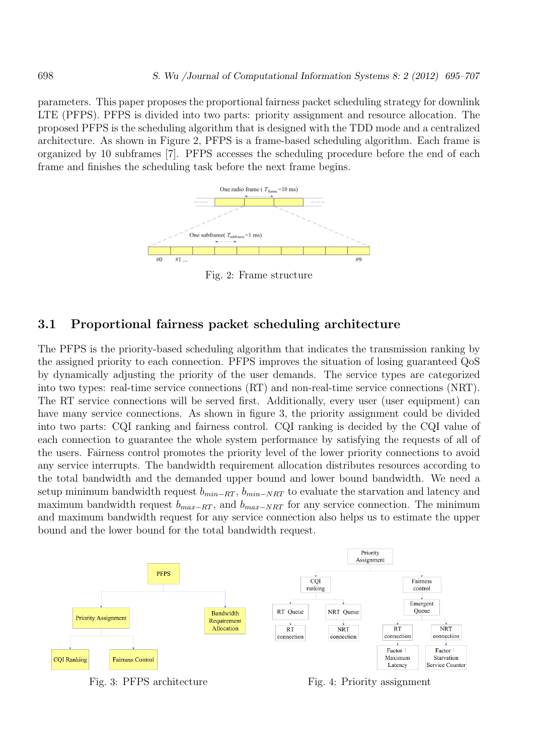parameters. This paper proposes the proportional fairness packet scheduling strategy for downlink LTE (PFPS). PFPS is divided into two parts: priority assignment and resource allocation. The proposed PFPS is the scheduling algorithm that is designed with the TDD mode and a centralized architecture. As shown in Figure 2, PFPS is a frame-based scheduling algorithm. Each frame is organized by 10 subframes [7]. PFPS accesses the scheduling procedure before the end of each frame and finishes the scheduling task before the next frame begins.



Fig. 2: Frame structure

### 3.1 Proportional fairness packet scheduling architecture

The PFPS is the priority-based scheduling algorithm that indicates the transmission ranking by the assigned priority to each connection. PFPS improves the situation of losing guaranteed QoS by dynamically adjusting the priority of the user demands. The service types are categorized into two types: real-time service connections (RT) and non-real-time service connections (NRT). The RT service connections will be served first. Additionally, every user (user equipment) can have many service connections. As shown in figure 3, the priority assignment could be divided into two parts: CQI ranking and fairness control. CQI ranking is decided by the CQI value of each connection to guarantee the whole system performance by satisfying the requests of all of the users. Fairness control promotes the priority level of the lower priority connections to avoid any service interrupts. The bandwidth requirement allocation distributes resources according to the total bandwidth and the demanded upper bound and lower bound bandwidth. We need a setup minimum bandwidth request  $b_{min-RT}$ ,  $b_{min-NRT}$  to evaluate the starvation and latency and maximum bandwidth request  $b_{max-RT}$ , and  $b_{max-NRT}$  for any service connection. The minimum and maximum bandwidth request for any service connection also helps us to estimate the upper bound and the lower bound for the total bandwidth request.



Fig. 3: PFPS architecture Fig. 4: Priority assignment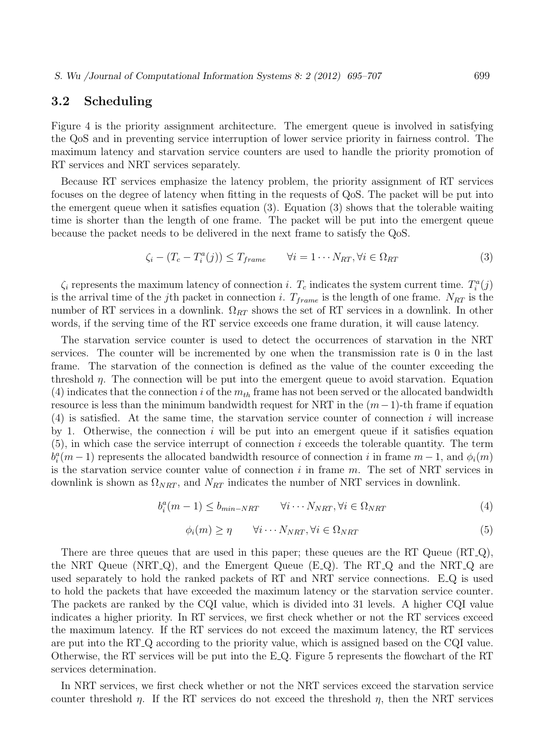### 3.2 Scheduling

Figure 4 is the priority assignment architecture. The emergent queue is involved in satisfying the QoS and in preventing service interruption of lower service priority in fairness control. The maximum latency and starvation service counters are used to handle the priority promotion of RT services and NRT services separately.

Because RT services emphasize the latency problem, the priority assignment of RT services focuses on the degree of latency when fitting in the requests of QoS. The packet will be put into the emergent queue when it satisfies equation (3). Equation (3) shows that the tolerable waiting time is shorter than the length of one frame. The packet will be put into the emergent queue because the packet needs to be delivered in the next frame to satisfy the QoS.

$$
\zeta_i - (T_c - T_i^a(j)) \le T_{frame} \qquad \forall i = 1 \cdots N_{RT}, \forall i \in \Omega_{RT}
$$
\n
$$
(3)
$$

 $\zeta_i$  represents the maximum latency of connection *i*.  $T_c$  indicates the system current time.  $T_i^a(j)$ is the arrival time of the j<sup>th</sup> packet in connection i.  $T_{frame}$  is the length of one frame.  $N_{RT}$  is the number of RT services in a downlink.  $\Omega_{RT}$  shows the set of RT services in a downlink. In other words, if the serving time of the RT service exceeds one frame duration, it will cause latency.

The starvation service counter is used to detect the occurrences of starvation in the NRT services. The counter will be incremented by one when the transmission rate is 0 in the last frame. The starvation of the connection is defined as the value of the counter exceeding the threshold  $\eta$ . The connection will be put into the emergent queue to avoid starvation. Equation (4) indicates that the connection i of the  $m_{th}$  frame has not been served or the allocated bandwidth resource is less than the minimum bandwidth request for NRT in the  $(m-1)$ -th frame if equation  $(4)$  is satisfied. At the same time, the starvation service counter of connection i will increase by 1. Otherwise, the connection  $i$  will be put into an emergent queue if it satisfies equation  $(5)$ , in which case the service interrupt of connection i exceeds the tolerable quantity. The term  $b_i^a(m-1)$  represents the allocated bandwidth resource of connection i in frame  $m-1$ , and  $\phi_i(m)$ is the starvation service counter value of connection  $i$  in frame  $m$ . The set of NRT services in downlink is shown as  $\Omega_{NRT}$ , and  $N_{RT}$  indicates the number of NRT services in downlink.

$$
b_i^a(m-1) \le b_{min-NRT} \qquad \forall i \cdots N_{NRT}, \forall i \in \Omega_{NRT}
$$
\n
$$
(4)
$$

$$
\phi_i(m) \ge \eta \qquad \forall i \cdots N_{NRT}, \forall i \in \Omega_{NRT} \tag{5}
$$

There are three queues that are used in this paper; these queues are the RT Queue (RT<sub>-Q</sub>), the NRT Queue (NRT<sub>-Q</sub>), and the Emergent Queue (E<sub>-Q</sub>). The RT<sub>-Q</sub> and the NRT<sub>-Q</sub> are used separately to hold the ranked packets of RT and NRT service connections. E Q is used to hold the packets that have exceeded the maximum latency or the starvation service counter. The packets are ranked by the CQI value, which is divided into 31 levels. A higher CQI value indicates a higher priority. In RT services, we first check whether or not the RT services exceed the maximum latency. If the RT services do not exceed the maximum latency, the RT services are put into the RT Q according to the priority value, which is assigned based on the CQI value. Otherwise, the RT services will be put into the E Q. Figure 5 represents the flowchart of the RT services determination.

In NRT services, we first check whether or not the NRT services exceed the starvation service counter threshold  $\eta$ . If the RT services do not exceed the threshold  $\eta$ , then the NRT services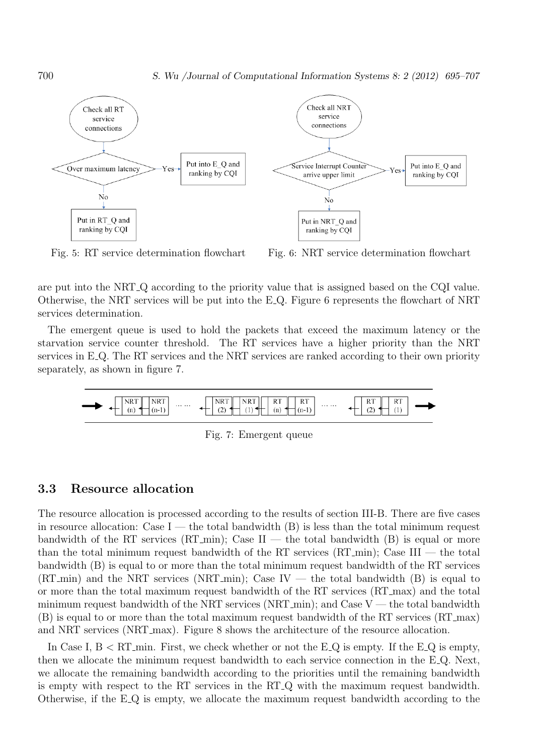

Fig. 5: RT service determination flowchart Fig. 6: NRT service determination flowchart

are put into the NRT Q according to the priority value that is assigned based on the CQI value. Otherwise, the NRT services will be put into the E Q. Figure 6 represents the flowchart of NRT services determination.

The emergent queue is used to hold the packets that exceed the maximum latency or the starvation service counter threshold. The RT services have a higher priority than the NRT services in E<sub>-Q</sub>. The RT services and the NRT services are ranked according to their own priority separately, as shown in figure 7.



Fig. 7: Emergent queue

### 3.3 Resource allocation

The resource allocation is processed according to the results of section III-B. There are five cases in resource allocation: Case I — the total bandwidth  $(B)$  is less than the total minimum request bandwidth of the RT services (RT\_min); Case  $II$  — the total bandwidth  $(B)$  is equal or more than the total minimum request bandwidth of the RT services  $(RT_{\text{...}})$ ; Case III — the total bandwidth (B) is equal to or more than the total minimum request bandwidth of the RT services  $(RT_{\text{min}})$  and the NRT services (NRT min); Case IV — the total bandwidth (B) is equal to or more than the total maximum request bandwidth of the RT services (RT max) and the total minimum request bandwidth of the NRT services (NRT  $_{\rm min}$ ); and Case V — the total bandwidth (B) is equal to or more than the total maximum request bandwidth of the RT services (RT max) and NRT services (NRT max). Figure 8 shows the architecture of the resource allocation.

In Case I,  $B < RT$  min. First, we check whether or not the E Q is empty. If the E Q is empty, then we allocate the minimum request bandwidth to each service connection in the E Q. Next, we allocate the remaining bandwidth according to the priorities until the remaining bandwidth is empty with respect to the RT services in the RT Q with the maximum request bandwidth. Otherwise, if the E Q is empty, we allocate the maximum request bandwidth according to the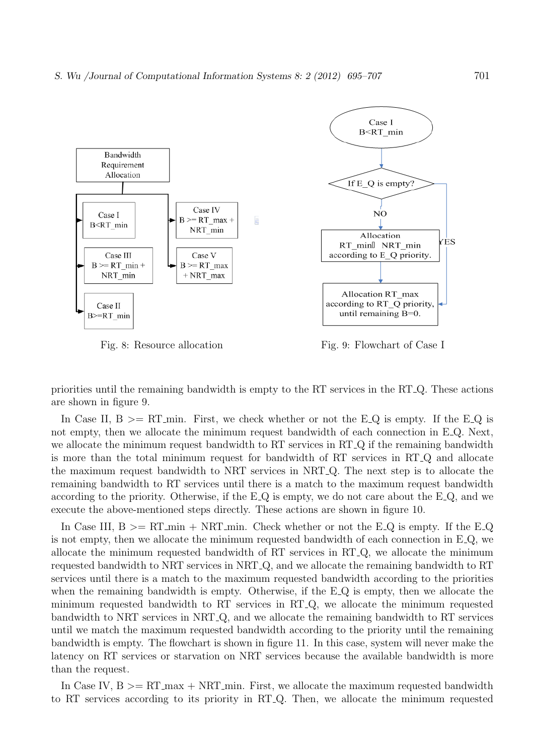

Fig. 8: Resource allocation Fig. 9: Flowchart of Case I

priorities until the remaining bandwidth is empty to the RT services in the RT Q. These actions are shown in figure 9.

In Case II,  $B \geq R T_{\text{min}}$ . First, we check whether or not the E Q is empty. If the E Q is not empty, then we allocate the minimum request bandwidth of each connection in E.Q. Next, we allocate the minimum request bandwidth to RT services in RT<sub>-Q</sub> if the remaining bandwidth is more than the total minimum request for bandwidth of RT services in RT Q and allocate the maximum request bandwidth to NRT services in NRT Q. The next step is to allocate the remaining bandwidth to RT services until there is a match to the maximum request bandwidth according to the priority. Otherwise, if the E Q is empty, we do not care about the E Q, and we execute the above-mentioned steps directly. These actions are shown in figure 10.

In Case III,  $B \geq R T_{\text{min}} + N R T_{\text{min}}$ . Check whether or not the E\_Q is empty. If the E\_Q is not empty, then we allocate the minimum requested bandwidth of each connection in  $E_{\text{Q}}$ , we allocate the minimum requested bandwidth of RT services in RT Q, we allocate the minimum requested bandwidth to NRT services in NRT Q, and we allocate the remaining bandwidth to RT services until there is a match to the maximum requested bandwidth according to the priorities when the remaining bandwidth is empty. Otherwise, if the E<sub>Q</sub> is empty, then we allocate the minimum requested bandwidth to RT services in RT Q, we allocate the minimum requested bandwidth to NRT services in NRT Q, and we allocate the remaining bandwidth to RT services until we match the maximum requested bandwidth according to the priority until the remaining bandwidth is empty. The flowchart is shown in figure 11. In this case, system will never make the latency on RT services or starvation on NRT services because the available bandwidth is more than the request.

In Case IV,  $B \geq RT_{\text{max}} + NRT_{\text{min}}$ . First, we allocate the maximum requested bandwidth to RT services according to its priority in RT Q. Then, we allocate the minimum requested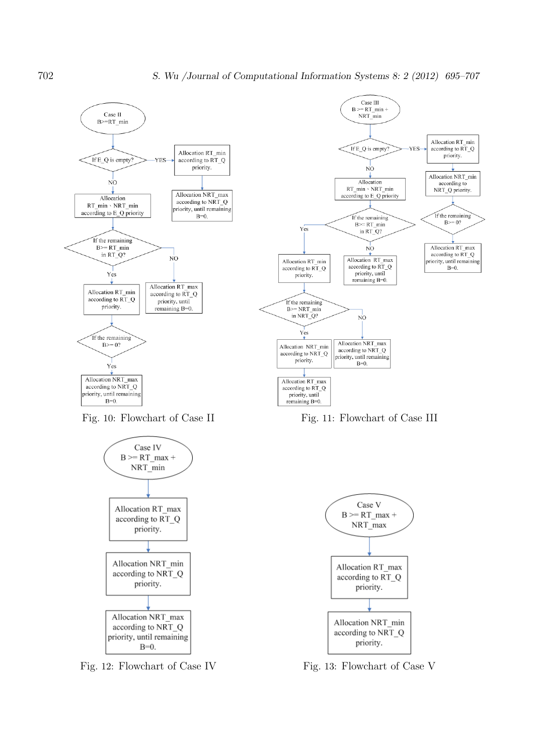

Fig. 10: Flowchart of Case II Fig. 11: Flowchart of Case III



Fig. 12: Flowchart of Case IV Fig. 13: Flowchart of Case V

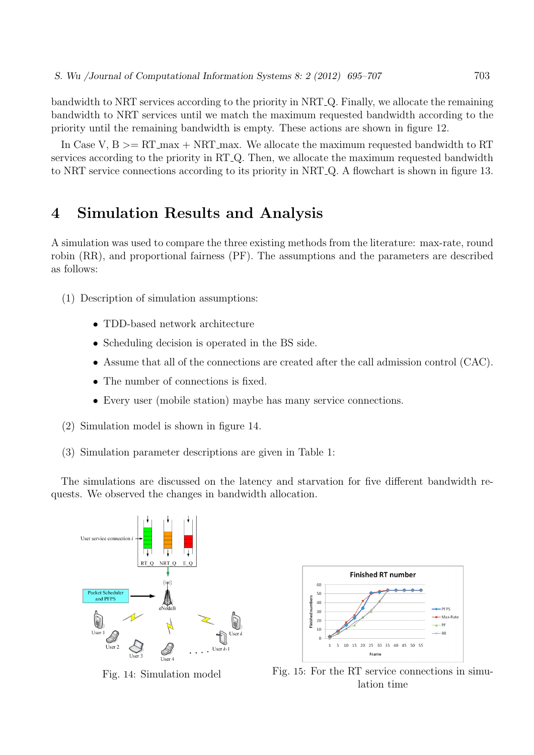bandwidth to NRT services according to the priority in NRT Q. Finally, we allocate the remaining bandwidth to NRT services until we match the maximum requested bandwidth according to the priority until the remaining bandwidth is empty. These actions are shown in figure 12.

In Case V,  $B \geq RT_{\text{max}} + NRT_{\text{max}}$ . We allocate the maximum requested bandwidth to RT services according to the priority in RT<sub>-Q</sub>. Then, we allocate the maximum requested bandwidth to NRT service connections according to its priority in NRT Q. A flowchart is shown in figure 13.

# 4 Simulation Results and Analysis

A simulation was used to compare the three existing methods from the literature: max-rate, round robin (RR), and proportional fairness (PF). The assumptions and the parameters are described as follows:

- (1) Description of simulation assumptions:
	- TDD-based network architecture
	- Scheduling decision is operated in the BS side.
	- Assume that all of the connections are created after the call admission control (CAC).
	- The number of connections is fixed.
	- Every user (mobile station) maybe has many service connections.
- (2) Simulation model is shown in figure 14.
- (3) Simulation parameter descriptions are given in Table 1:

The simulations are discussed on the latency and starvation for five different bandwidth requests. We observed the changes in bandwidth allocation.





Fig. 14: Simulation model Fig. 15: For the RT service connections in simulation time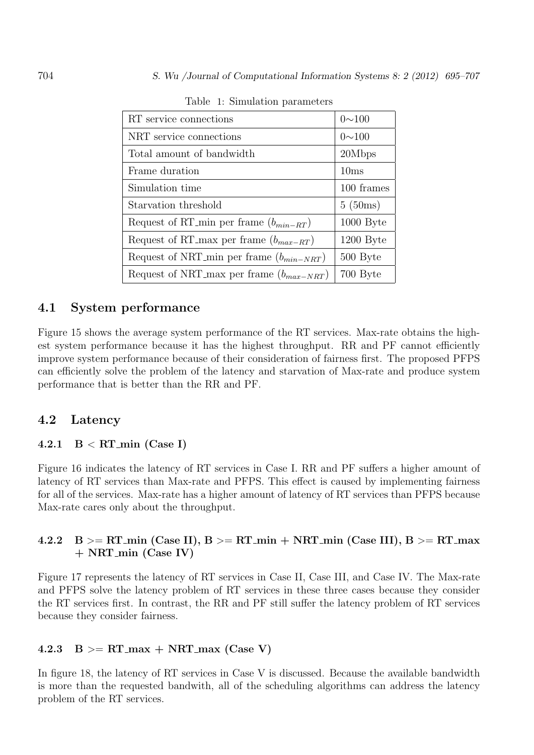| RT service connections                       | $0 \sim 100$ |
|----------------------------------------------|--------------|
| NRT service connections                      | $0 \sim 100$ |
| Total amount of bandwidth                    | 20Mbps       |
| Frame duration                               | 10ms         |
| Simulation time                              | 100 frames   |
| Starvation threshold                         | 5(50ms)      |
| Request of RT_min per frame $(b_{min-RT})$   | 1000 Byte    |
| Request of RT_max per frame $(b_{max-RT})$   | $1200$ Byte  |
| Request of NRT_min per frame $(b_{min-NRT})$ | 500 Byte     |
| Request of NRT max per frame $(b_{max-NRT})$ | 700 Byte     |

Table 1: Simulation parameters

### 4.1 System performance

Figure 15 shows the average system performance of the RT services. Max-rate obtains the highest system performance because it has the highest throughput. RR and PF cannot efficiently improve system performance because of their consideration of fairness first. The proposed PFPS can efficiently solve the problem of the latency and starvation of Max-rate and produce system performance that is better than the RR and PF.

### 4.2 Latency

#### 4.2.1  $B < RT_{min}$  (Case I)

Figure 16 indicates the latency of RT services in Case I. RR and PF suffers a higher amount of latency of RT services than Max-rate and PFPS. This effect is caused by implementing fairness for all of the services. Max-rate has a higher amount of latency of RT services than PFPS because Max-rate cares only about the throughput.

### 4.2.2 B  $>= RT_{min}$  (Case II), B  $>= RT_{min} + NRT_{min}$  (Case III), B  $>= RT_{max}$ + NRT min (Case IV)

Figure 17 represents the latency of RT services in Case II, Case III, and Case IV. The Max-rate and PFPS solve the latency problem of RT services in these three cases because they consider the RT services first. In contrast, the RR and PF still suffer the latency problem of RT services because they consider fairness.

#### 4.2.3 B  $>$  RT\_max + NRT\_max (Case V)

In figure 18, the latency of RT services in Case V is discussed. Because the available bandwidth is more than the requested bandwith, all of the scheduling algorithms can address the latency problem of the RT services.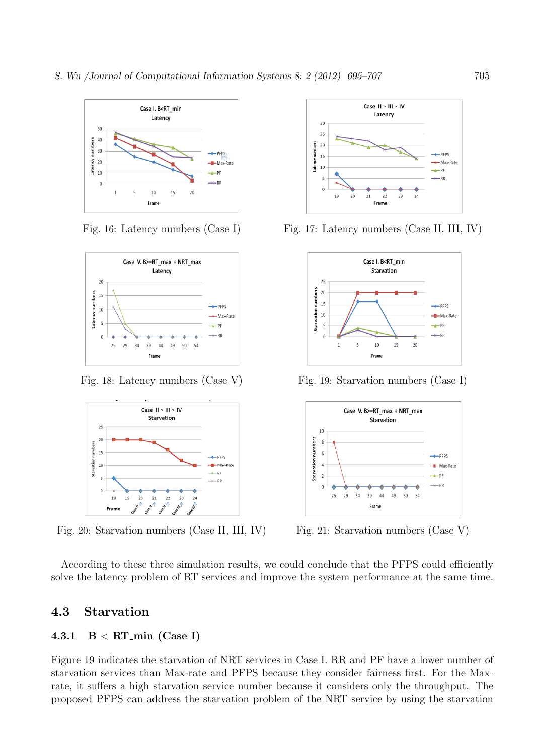





Fig. 20: Starvation numbers (Case II, III, IV) Fig. 21: Starvation numbers (Case V)



Fig. 16: Latency numbers (Case I) Fig. 17: Latency numbers (Case II, III, IV)



Fig. 18: Latency numbers (Case V) Fig. 19: Starvation numbers (Case I)



According to these three simulation results, we could conclude that the PFPS could efficiently solve the latency problem of RT services and improve the system performance at the same time.

### 4.3 Starvation

### 4.3.1  $B < RT_{min}$  (Case I)

Figure 19 indicates the starvation of NRT services in Case I. RR and PF have a lower number of starvation services than Max-rate and PFPS because they consider fairness first. For the Maxrate, it suffers a high starvation service number because it considers only the throughput. The proposed PFPS can address the starvation problem of the NRT service by using the starvation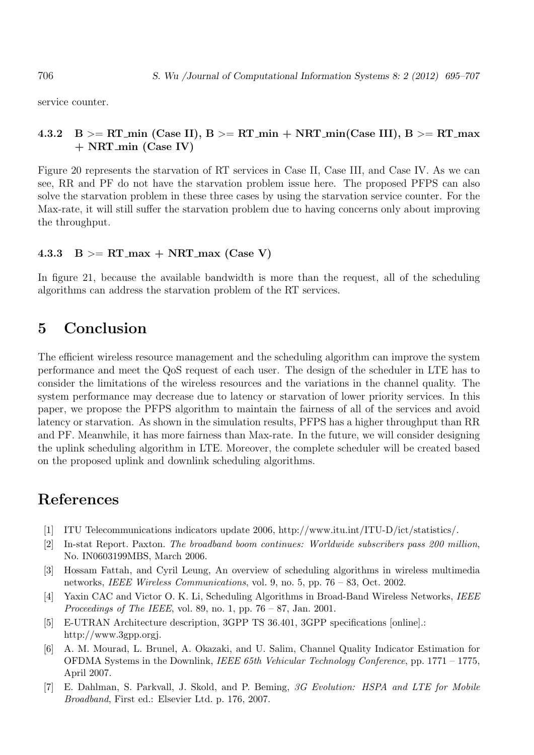service counter.

### 4.3.2 B >= RT\_min (Case II), B >= RT\_min + NRT\_min(Case III), B >= RT\_max + NRT min (Case IV)

Figure 20 represents the starvation of RT services in Case II, Case III, and Case IV. As we can see, RR and PF do not have the starvation problem issue here. The proposed PFPS can also solve the starvation problem in these three cases by using the starvation service counter. For the Max-rate, it will still suffer the starvation problem due to having concerns only about improving the throughput.

#### 4.3.3  $B \geq R T_{\text{max}} + N R T_{\text{max}}$  (Case V)

In figure 21, because the available bandwidth is more than the request, all of the scheduling algorithms can address the starvation problem of the RT services.

## 5 Conclusion

The efficient wireless resource management and the scheduling algorithm can improve the system performance and meet the QoS request of each user. The design of the scheduler in LTE has to consider the limitations of the wireless resources and the variations in the channel quality. The system performance may decrease due to latency or starvation of lower priority services. In this paper, we propose the PFPS algorithm to maintain the fairness of all of the services and avoid latency or starvation. As shown in the simulation results, PFPS has a higher throughput than RR and PF. Meanwhile, it has more fairness than Max-rate. In the future, we will consider designing the uplink scheduling algorithm in LTE. Moreover, the complete scheduler will be created based on the proposed uplink and downlink scheduling algorithms.

# References

- [1] ITU Telecommunications indicators update 2006, http://www.itu.int/ITU-D/ict/statistics/.
- [2] In-stat Report. Paxton. The broadband boom continues: Worldwide subscribers pass 200 million, No. IN0603199MBS, March 2006.
- [3] Hossam Fattah, and Cyril Leung, An overview of scheduling algorithms in wireless multimedia networks, IEEE Wireless Communications, vol. 9, no. 5, pp. 76 – 83, Oct. 2002.
- [4] Yaxin CAC and Victor O. K. Li, Scheduling Algorithms in Broad-Band Wireless Networks, IEEE *Proceedings of The IEEE*, vol. 89, no. 1, pp.  $76 - 87$ , Jan. 2001.
- [5] E-UTRAN Architecture description, 3GPP TS 36.401, 3GPP specifications [online].: http://www.3gpp.orgj.
- [6] A. M. Mourad, L. Brunel, A. Okazaki, and U. Salim, Channel Quality Indicator Estimation for OFDMA Systems in the Downlink, IEEE 65th Vehicular Technology Conference, pp. 1771 – 1775, April 2007.
- [7] E. Dahlman, S. Parkvall, J. Skold, and P. Beming, 3G Evolution: HSPA and LTE for Mobile Broadband, First ed.: Elsevier Ltd. p. 176, 2007.